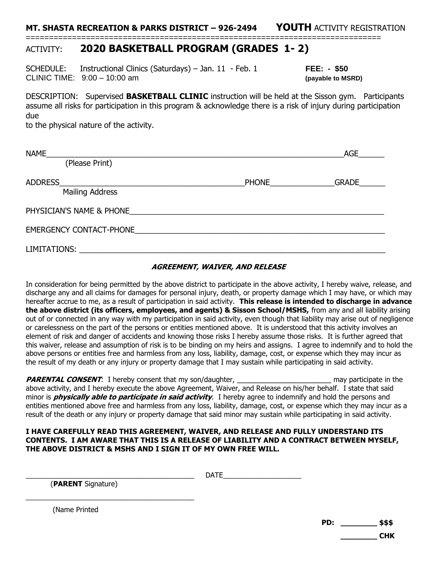**MT. SHASTA RECREATION & PARKS DISTRICT – 926-2494 YOUTH** ACTIVITY REGISTRATION

## ACTIVITY: **2020 BASKETBALL PROGRAM (GRADES 1- 2)**

SCHEDULE: Instructional Clinics (Saturdays) – Jan. 11 - Feb. 1 **FEE: - \$50** CLINIC TIME: 9:00 – 10:00 am **(payable to MSRD)**

=============================================================================

DESCRIPTION: Supervised **BASKETBALL CLINIC** instruction will be held at the Sisson gym. Participants assume all risks for participation in this program & acknowledge there is a risk of injury during participation due

to the physical nature of the activity.

| <b>NAME</b>                                                                                                                        | AGE   |
|------------------------------------------------------------------------------------------------------------------------------------|-------|
| (Please Print)                                                                                                                     |       |
| <b>ADDRESS</b><br><b>Mailing Address</b>                                                                                           | GRADE |
| PHYSICIAN'S NAME & PHONE                                                                                                           |       |
| <b>EMERGENCY CONTACT-PHONE</b>                                                                                                     |       |
| LIMITATIONS:<br><u> 1980 - Jan Stein Harry Harry Harry Harry Harry Harry Harry Harry Harry Harry Harry Harry Harry Harry Harry</u> |       |

### **AGREEMENT, WAIVER, AND RELEASE**

In consideration for being permitted by the above district to participate in the above activity, I hereby waive, release, and discharge any and all claims for damages for personal injury, death, or property damage which I may have, or which may hereafter accrue to me, as a result of participation in said activity. **This release is intended to discharge in advance the above district (its officers, employees, and agents) & Sisson School/MSHS,** from any and all liability arising out of or connected in any way with my participation in said activity, even though that liability may arise out of negligence or carelessness on the part of the persons or entities mentioned above. It is understood that this activity involves an element of risk and danger of accidents and knowing those risks I hereby assume those risks. It is further agreed that this waiver, release and assumption of risk is to be binding on my heirs and assigns. I agree to indemnify and to hold the above persons or entities free and harmless from any loss, liability, damage, cost, or expense which they may incur as the result of my death or any injury or property damage that I may sustain while participating in said activity.

**PARENTAL CONSENT:** I hereby consent that my son/daughter, \_\_\_\_\_\_\_\_\_\_\_\_\_\_\_\_\_\_\_\_\_\_\_\_\_\_\_\_\_ may participate in the above activity, and I hereby execute the above Agreement, Waiver, and Release on his/her behalf. I state that said minor is **physically able to participate in said activity**. I hereby agree to indemnify and hold the persons and entities mentioned above free and harmless from any loss, liability, damage, cost, or expense which they may incur as a result of the death or any injury or property damage that said minor may sustain while participating in said activity.

#### **I HAVE CAREFULLY READ THIS AGREEMENT, WAIVER, AND RELEASE AND FULLY UNDERSTAND ITS CONTENTS. I AM AWARE THAT THIS IS A RELEASE OF LIABILITY AND A CONTRACT BETWEEN MYSELF, THE ABOVE DISTRICT & MSHS AND I SIGN IT OF MY OWN FREE WILL.**

**\_\_\_\_\_\_\_\_ CHK**

\_\_\_\_\_\_\_\_\_\_\_\_\_\_\_\_\_\_\_\_\_\_\_\_\_\_\_\_\_\_\_\_\_\_\_\_\_\_\_\_\_\_\_ DATE\_\_\_\_\_\_\_\_\_\_\_\_\_\_\_\_\_\_\_\_ (**PARENT** Signature) \_\_\_\_\_\_\_\_\_\_\_\_\_\_\_\_\_\_\_\_\_\_\_\_\_\_\_\_\_\_\_\_\_\_\_\_\_\_\_\_\_\_\_ (Name Printed

**PD: \_\_\_\_\_\_\_\_ \$\$\$**